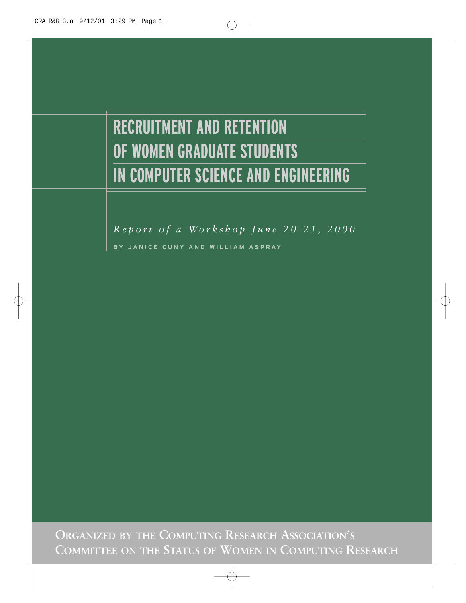# **RECRUITMENT AND RETENTION OF WOMEN GRADUATE STUDENTS IN COMPUTER SCIENCE AND ENGINEERING**

*Report of a Workshop June 20-21, 2000* **BY JANICE CUNY AND WILLIAM ASPRAY**

**ORGANIZED BY THE COMPUTING RESEARCH ASSOCIATION'S COMMITTEE ON THE STATUS OF WOMEN IN COMPUTING RESEARCH**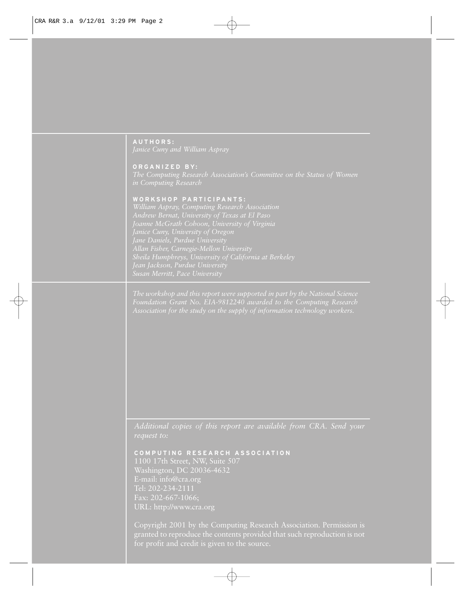# **A UTHORS:**

**ORG ANIZED B Y :**

#### **W ORK SHOP PA R TICIPANT S :**

*Andrew Bernat, University of Texas at El Paso Allan Fisher, Carnegie-Mellon University Susan Merritt, Pace University*

*Foundation Grant No. EIA-9812240 awarded to the Computing Research*

**C OMPUTING RE SEARCH A S S OCIATION** Washington, DC 20036-4632 E-mail: info@cra.org Tel: 202-234-2111 Fax: 202-667-1066; URL: http://www.cra.org

Copyright 2001 by the Computing Research Association. Permission is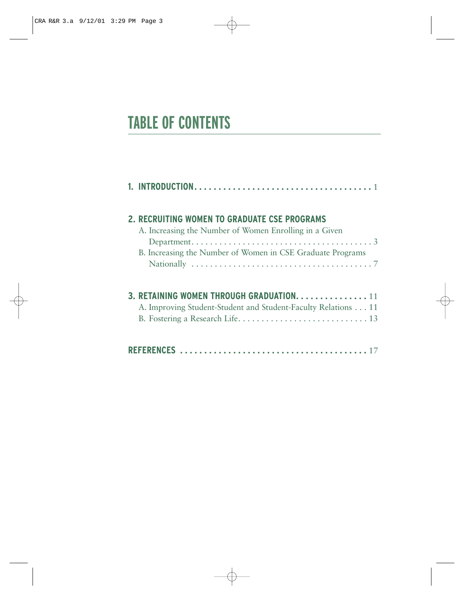# **TABLE OF CONTENTS**

|  | 2. RECRUITING WOMEN TO GRADUATE CSE PROGRAMS<br>A. Increasing the Number of Women Enrolling in a Given<br>B. Increasing the Number of Women in CSE Graduate Programs |
|--|----------------------------------------------------------------------------------------------------------------------------------------------------------------------|
|  | 3. RETAINING WOMEN THROUGH GRADUATION 11<br>A. Improving Student-Student and Student-Faculty Relations 11                                                            |
|  |                                                                                                                                                                      |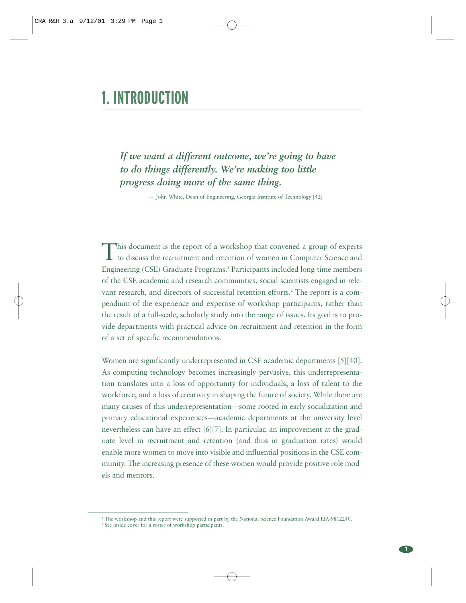# **1. INTRODUCTION**

*If we want a different outcome, we're going to have to do things differently. We're making too little progress doing more of the same thing.*

— John White, Dean of Engineering, Georgia Institute of Technology [42]

This document is the report of a workshop that convened a group of experts to discuss the recruitment and retention of women in Computer Science and Engineering (CSE) Graduate Programs.1 Participants included long-time members of the CSE academic and research communities, social scientists engaged in relevant research, and directors of successful retention efforts.<sup>2</sup> The report is a compendium of the experience and expertise of workshop participants, rather than the result of a full-scale, scholarly study into the range of issues. Its goal is to provide departments with practical advice on recruitment and retention in the form of a set of specific recommendations.

Women are significantly underrepresented in CSE academic departments [5][40]. As computing technology becomes increasingly pervasive, this underrepresentation translates into a loss of opportunity for individuals, a loss of talent to the workforce, and a loss of creativity in shaping the future of society. While there are many causes of this underrepresentation—some rooted in early socialization and primary educational experiences—academic departments at the university level nevertheless can have an effect [6][7]. In particular, an improvement at the graduate level in recruitment and retention (and thus in graduation rates) would enable more women to move into visible and influential positions in the CSE community. The increasing presence of these women would provide positive role models and mentors.

<sup>&</sup>lt;sup>1</sup> The workshop and this report were supported in part by the National Science Foundation Award EIA-9812240.<br><sup>2</sup> See inside cover for a roster of workshop participants.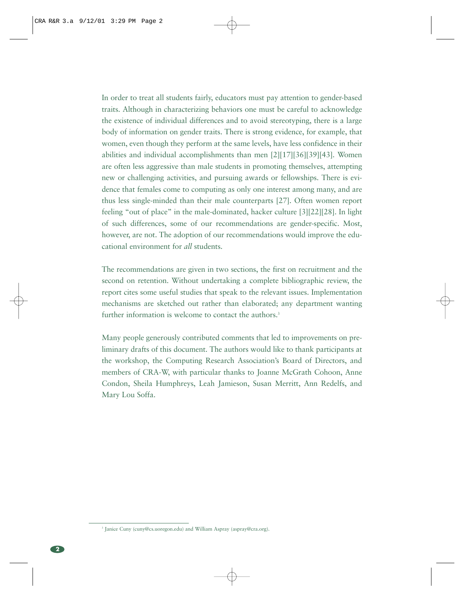In order to treat all students fairly, educators must pay attention to gender-based traits. Although in characterizing behaviors one must be careful to acknowledge the existence of individual differences and to avoid stereotyping, there is a large body of information on gender traits. There is strong evidence, for example, that women, even though they perform at the same levels, have less confidence in their abilities and individual accomplishments than men [2][17][36][39][43]. Women are often less aggressive than male students in promoting themselves, attempting new or challenging activities, and pursuing awards or fellowships. There is evidence that females come to computing as only one interest among many, and are thus less single-minded than their male counterparts [27]. Often women report feeling "out of place" in the male-dominated, hacker culture [3][22][28]. In light of such differences, some of our recommendations are gender-specific. Most, however, are not. The adoption of our recommendations would improve the educational environment for *all* students.

The recommendations are given in two sections, the first on recruitment and the second on retention. Without undertaking a complete bibliographic review, the report cites some useful studies that speak to the relevant issues. Implementation mechanisms are sketched out rather than elaborated; any department wanting further information is welcome to contact the authors.<sup>3</sup>

Many people generously contributed comments that led to improvements on preliminary drafts of this document. The authors would like to thank participants at the workshop, the Computing Research Association's Board of Directors, and members of CRA-W, with particular thanks to Joanne McGrath Cohoon, Anne Condon, Sheila Humphreys, Leah Jamieson, Susan Merritt, Ann Redelfs, and Mary Lou Soffa.

<sup>&</sup>lt;sup>3</sup> Janice Cuny (cuny@cs.uoregon.edu) and William Aspray (aspray@cra.org).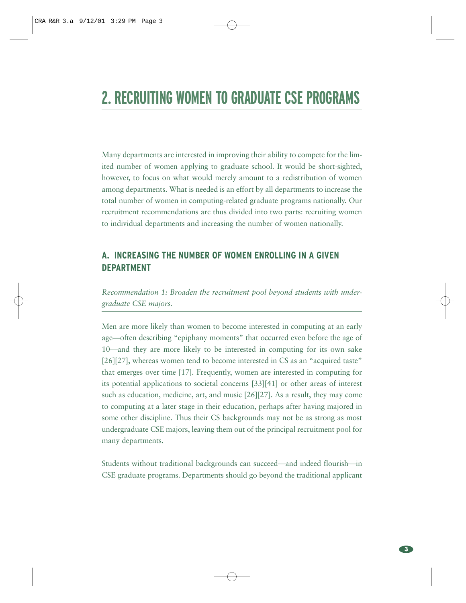# **2. RECRUITING WOMEN TO GRADUATE CSE PROGRAMS**

Many departments are interested in improving their ability to compete for the limited number of women applying to graduate school. It would be short-sighted, however, to focus on what would merely amount to a redistribution of women among departments. What is needed is an effort by all departments to increase the total number of women in computing-related graduate programs nationally. Our recruitment recommendations are thus divided into two parts: recruiting women to individual departments and increasing the number of women nationally.

## **A. INCREASING THE NUMBER OF WOMEN ENROLLING IN A GIVEN DEPARTMENT**

*Recommendation 1: Broaden the recruitment pool beyond students with undergraduate CSE majors.* 

Men are more likely than women to become interested in computing at an early age—often describing "epiphany moments" that occurred even before the age of 10—and they are more likely to be interested in computing for its own sake [26][27], whereas women tend to become interested in CS as an "acquired taste" that emerges over time [17]. Frequently, women are interested in computing for its potential applications to societal concerns [33][41] or other areas of interest such as education, medicine, art, and music [26][27]. As a result, they may come to computing at a later stage in their education, perhaps after having majored in some other discipline. Thus their CS backgrounds may not be as strong as most undergraduate CSE majors, leaving them out of the principal recruitment pool for many departments.

Students without traditional backgrounds can succeed—and indeed flourish—in CSE graduate programs. Departments should go beyond the traditional applicant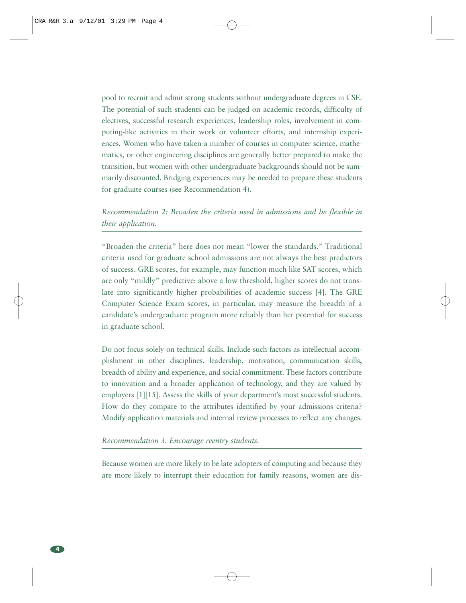pool to recruit and admit strong students without undergraduate degrees in CSE. The potential of such students can be judged on academic records, difficulty of electives, successful research experiences, leadership roles, involvement in computing-like activities in their work or volunteer efforts, and internship experiences. Women who have taken a number of courses in computer science, mathematics, or other engineering disciplines are generally better prepared to make the transition, but women with other undergraduate backgrounds should not be summarily discounted. Bridging experiences may be needed to prepare these students for graduate courses (see Recommendation 4).

### *Recommendation 2: Broaden the criteria used in admissions and be flexible in their application.*

"Broaden the criteria" here does not mean "lower the standards." Traditional criteria used for graduate school admissions are not always the best predictors of success. GRE scores, for example, may function much like SAT scores, which are only "mildly" predictive: above a low threshold, higher scores do not translate into significantly higher probabilities of academic success [4]. The GRE Computer Science Exam scores, in particular, may measure the breadth of a candidate's undergraduate program more reliably than her potential for success in graduate school.

Do not focus solely on technical skills. Include such factors as intellectual accomplishment in other disciplines, leadership, motivation, communication skills, breadth of ability and experience, and social commitment. These factors contribute to innovation and a broader application of technology, and they are valued by employers [1][15]. Assess the skills of your department's most successful students. How do they compare to the attributes identified by your admissions criteria? Modify application materials and internal review processes to reflect any changes.

#### *Recommendation 3. Encourage reentry students.*

Because women are more likely to be late adopters of computing and because they are more likely to interrupt their education for family reasons, women are dis-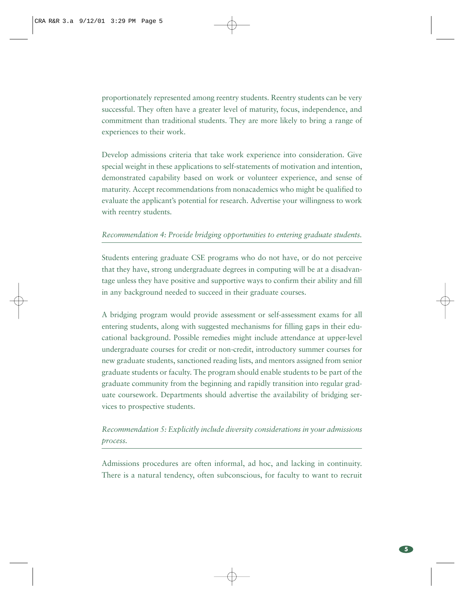proportionately represented among reentry students. Reentry students can be very successful. They often have a greater level of maturity, focus, independence, and commitment than traditional students. They are more likely to bring a range of experiences to their work.

Develop admissions criteria that take work experience into consideration. Give special weight in these applications to self-statements of motivation and intention, demonstrated capability based on work or volunteer experience, and sense of maturity. Accept recommendations from nonacademics who might be qualified to evaluate the applicant's potential for research. Advertise your willingness to work with reentry students.

#### *Recommendation 4: Provide bridging opportunities to entering graduate students.*

Students entering graduate CSE programs who do not have, or do not perceive that they have, strong undergraduate degrees in computing will be at a disadvantage unless they have positive and supportive ways to confirm their ability and fill in any background needed to succeed in their graduate courses.

A bridging program would provide assessment or self-assessment exams for all entering students, along with suggested mechanisms for filling gaps in their educational background. Possible remedies might include attendance at upper-level undergraduate courses for credit or non-credit, introductory summer courses for new graduate students, sanctioned reading lists, and mentors assigned from senior graduate students or faculty. The program should enable students to be part of the graduate community from the beginning and rapidly transition into regular graduate coursework. Departments should advertise the availability of bridging services to prospective students.

## *Recommendation 5: Explicitly include diversity considerations in your admissions process.*

Admissions procedures are often informal, ad hoc, and lacking in continuity. There is a natural tendency, often subconscious, for faculty to want to recruit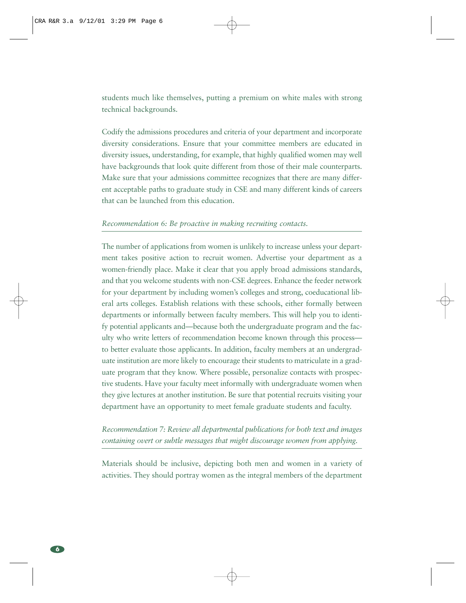students much like themselves, putting a premium on white males with strong technical backgrounds.

Codify the admissions procedures and criteria of your department and incorporate diversity considerations. Ensure that your committee members are educated in diversity issues, understanding, for example, that highly qualified women may well have backgrounds that look quite different from those of their male counterparts. Make sure that your admissions committee recognizes that there are many different acceptable paths to graduate study in CSE and many different kinds of careers that can be launched from this education.

#### *Recommendation 6: Be proactive in making recruiting contacts.*

The number of applications from women is unlikely to increase unless your department takes positive action to recruit women. Advertise your department as a women-friendly place. Make it clear that you apply broad admissions standards, and that you welcome students with non-CSE degrees. Enhance the feeder network for your department by including women's colleges and strong, coeducational liberal arts colleges. Establish relations with these schools, either formally between departments or informally between faculty members. This will help you to identify potential applicants and—because both the undergraduate program and the faculty who write letters of recommendation become known through this process to better evaluate those applicants. In addition, faculty members at an undergraduate institution are more likely to encourage their students to matriculate in a graduate program that they know. Where possible, personalize contacts with prospective students. Have your faculty meet informally with undergraduate women when they give lectures at another institution. Be sure that potential recruits visiting your department have an opportunity to meet female graduate students and faculty.

### *Recommendation 7: Review all departmental publications for both text and images containing overt or subtle messages that might discourage women from applying.*

Materials should be inclusive, depicting both men and women in a variety of activities. They should portray women as the integral members of the department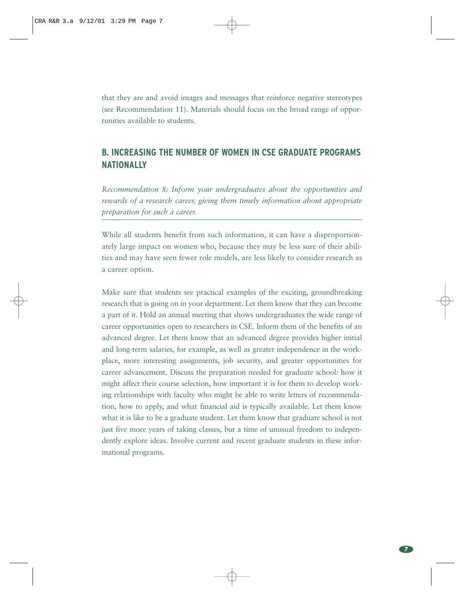that they are and avoid images and messages that reinforce negative stereotypes (see Recommendation 11). Materials should focus on the broad range of opportunities available to students.

## **B. INCREASING THE NUMBER OF WOMEN IN CSE GRADUATE PROGRAMS NATIONALLY**

*Recommendation 8: Inform your undergraduates about the opportunities and rewards of a research career, giving them timely information about appropriate preparation for such a career.* 

While all students benefit from such information, it can have a disproportionately large impact on women who, because they may be less sure of their abilities and may have seen fewer role models, are less likely to consider research as a career option.

Make sure that students see practical examples of the exciting, groundbreaking research that is going on in your department. Let them know that they can become a part of it. Hold an annual meeting that shows undergraduates the wide range of career opportunities open to researchers in CSE. Inform them of the benefits of an advanced degree. Let them know that an advanced degree provides higher initial and long-term salaries, for example, as well as greater independence in the workplace, more interesting assignments, job security, and greater opportunities for career advancement. Discuss the preparation needed for graduate school: how it might affect their course selection, how important it is for them to develop working relationships with faculty who might be able to write letters of recommendation, how to apply, and what financial aid is typically available. Let them know what it is like to be a graduate student. Let them know that graduate school is not just five more years of taking classes, but a time of unusual freedom to independently explore ideas. Involve current and recent graduate students in these informational programs.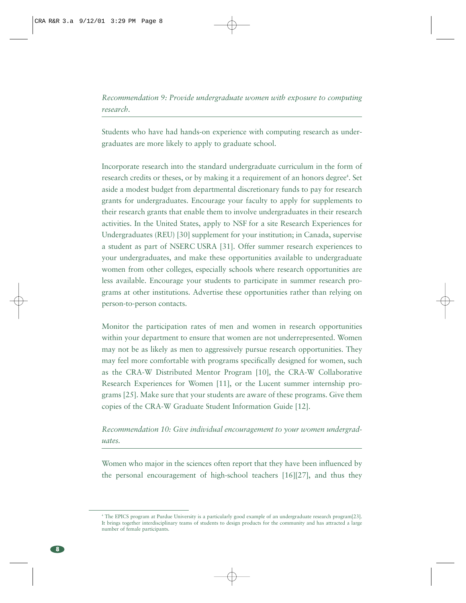*Recommendation 9: Provide undergraduate women with exposure to computing research.* 

Students who have had hands-on experience with computing research as undergraduates are more likely to apply to graduate school.

Incorporate research into the standard undergraduate curriculum in the form of research credits or theses, or by making it a requirement of an honors degree<sup>4</sup>. Set aside a modest budget from departmental discretionary funds to pay for research grants for undergraduates. Encourage your faculty to apply for supplements to their research grants that enable them to involve undergraduates in their research activities. In the United States, apply to NSF for a site Research Experiences for Undergraduates (REU) [30] supplement for your institution; in Canada, supervise a student as part of NSERC USRA [31]. Offer summer research experiences to your undergraduates, and make these opportunities available to undergraduate women from other colleges, especially schools where research opportunities are less available. Encourage your students to participate in summer research programs at other institutions. Advertise these opportunities rather than relying on person-to-person contacts.

Monitor the participation rates of men and women in research opportunities within your department to ensure that women are not underrepresented. Women may not be as likely as men to aggressively pursue research opportunities. They may feel more comfortable with programs specifically designed for women, such as the CRA-W Distributed Mentor Program [10], the CRA-W Collaborative Research Experiences for Women [11], or the Lucent summer internship programs [25]. Make sure that your students are aware of these programs. Give them copies of the CRA-W Graduate Student Information Guide [12].

### *Recommendation 10: Give individual encouragement to your women undergraduates.*

Women who major in the sciences often report that they have been influenced by the personal encouragement of high-school teachers [16][27], and thus they

<sup>4</sup> The EPICS program at Purdue University is a particularly good example of an undergraduate research program[23]. It brings together interdisciplinary teams of students to design products for the community and has attracted a large number of female participants.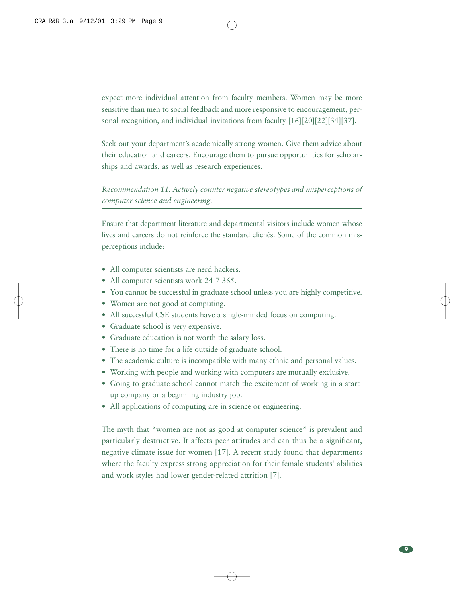expect more individual attention from faculty members. Women may be more sensitive than men to social feedback and more responsive to encouragement, personal recognition, and individual invitations from faculty [16][20][22][34][37].

Seek out your department's academically strong women. Give them advice about their education and careers. Encourage them to pursue opportunities for scholarships and awards, as well as research experiences.

### *Recommendation 11: Actively counter negative stereotypes and misperceptions of computer science and engineering.*

Ensure that department literature and departmental visitors include women whose lives and careers do not reinforce the standard clichés. Some of the common misperceptions include:

- All computer scientists are nerd hackers.
- All computer scientists work 24-7-365.
- You cannot be successful in graduate school unless you are highly competitive.
- Women are not good at computing.
- All successful CSE students have a single-minded focus on computing.
- Graduate school is very expensive.
- Graduate education is not worth the salary loss.
- There is no time for a life outside of graduate school.
- The academic culture is incompatible with many ethnic and personal values.
- Working with people and working with computers are mutually exclusive.
- Going to graduate school cannot match the excitement of working in a startup company or a beginning industry job.
- All applications of computing are in science or engineering.

The myth that "women are not as good at computer science" is prevalent and particularly destructive. It affects peer attitudes and can thus be a significant, negative climate issue for women [17]. A recent study found that departments where the faculty express strong appreciation for their female students' abilities and work styles had lower gender-related attrition [7].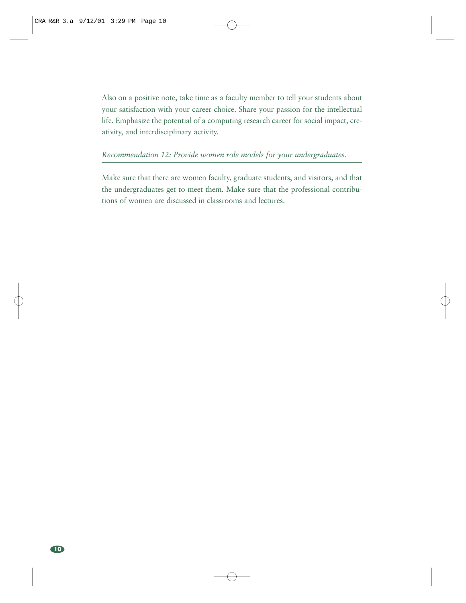Also on a positive note, take time as a faculty member to tell your students about your satisfaction with your career choice. Share your passion for the intellectual life. Emphasize the potential of a computing research career for social impact, creativity, and interdisciplinary activity.

#### *Recommendation 12: Provide women role models for your undergraduates.*

Make sure that there are women faculty, graduate students, and visitors, and that the undergraduates get to meet them. Make sure that the professional contributions of women are discussed in classrooms and lectures.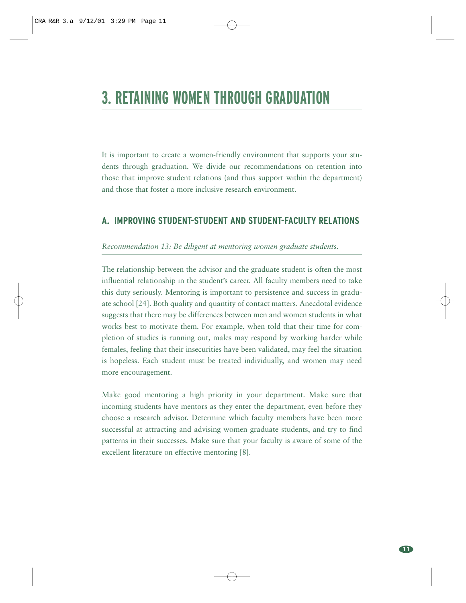# **3. RETAINING WOMEN THROUGH GRADUATION**

It is important to create a women-friendly environment that supports your students through graduation. We divide our recommendations on retention into those that improve student relations (and thus support within the department) and those that foster a more inclusive research environment.

#### **A. IMPROVING STUDENT-STUDENT AND STUDENT-FACULTY RELATIONS**

#### *Recommendation 13: Be diligent at mentoring women graduate students.*

The relationship between the advisor and the graduate student is often the most influential relationship in the student's career. All faculty members need to take this duty seriously. Mentoring is important to persistence and success in graduate school [24]. Both quality and quantity of contact matters. Anecdotal evidence suggests that there may be differences between men and women students in what works best to motivate them. For example, when told that their time for completion of studies is running out, males may respond by working harder while females, feeling that their insecurities have been validated, may feel the situation is hopeless. Each student must be treated individually, and women may need more encouragement.

Make good mentoring a high priority in your department. Make sure that incoming students have mentors as they enter the department, even before they choose a research advisor. Determine which faculty members have been more successful at attracting and advising women graduate students, and try to find patterns in their successes. Make sure that your faculty is aware of some of the excellent literature on effective mentoring [8].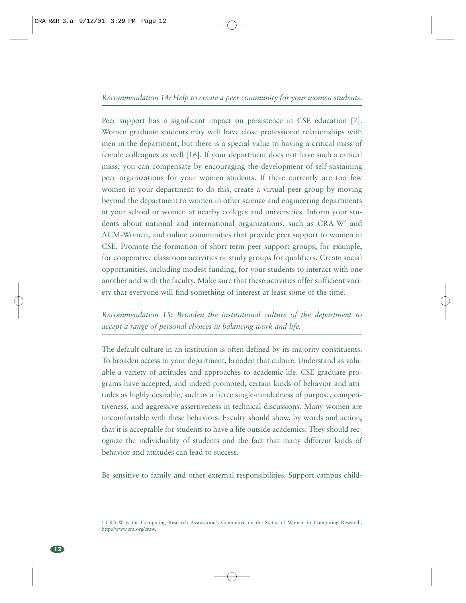Peer support has a significant impact on persistence in CSE education [7]. Women graduate students may well have close professional relationships with men in the department, but there is a special value to having a critical mass of female colleagues as well [16]. If your department does not have such a critical mass, you can compensate by encouraging the development of self-sustaining peer organizations for your women students. If there currently are too few women in your department to do this, create a virtual peer group by moving beyond the department to women in other science and engineering departments at your school or women at nearby colleges and universities. Inform your students about national and international organizations, such as CRA-W<sup>5</sup> and ACM-Women, and online communities that provide peer support to women in CSE. Promote the formation of short-term peer support groups, for example, for cooperative classroom activities or study groups for qualifiers. Create social opportunities, including modest funding, for your students to interact with one another and with the faculty. Make sure that these activities offer sufficient variety that everyone will find something of interest at least some of the time.

*Recommendation 15: Broaden the institutional culture of the department to accept a range of personal choices in balancing work and life.* 

The default culture in an institution is often defined by its majority constituents. To broaden access to your department, broaden that culture. Understand as valuable a variety of attitudes and approaches to academic life. CSE graduate programs have accepted, and indeed promoted, certain kinds of behavior and attitudes as highly desirable, such as a fierce single-mindedness of purpose, competitiveness, and aggressive assertiveness in technical discussions. Many women are uncomfortable with these behaviors. Faculty should show, by words and action, that it is acceptable for students to have a life outside academics. They should recognize the individuality of students and the fact that many different kinds of behavior and attitudes can lead to success.

Be sensitive to family and other external responsibilities. Support campus child-

<sup>5</sup> CRA-W is the Computing Research Association's Committee on the Status of Women in Computing Research, http://www.cra.org/craw.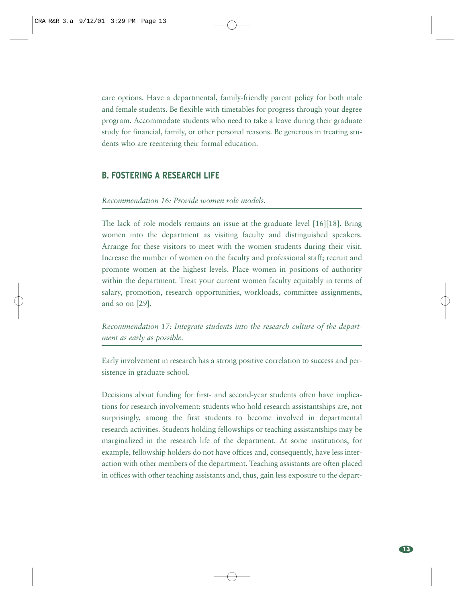care options. Have a departmental, family-friendly parent policy for both male and female students. Be flexible with timetables for progress through your degree program. Accommodate students who need to take a leave during their graduate study for financial, family, or other personal reasons. Be generous in treating students who are reentering their formal education.

#### **B. FOSTERING A RESEARCH LIFE**

#### *Recommendation 16: Provide women role models.*

The lack of role models remains an issue at the graduate level [16][18]. Bring women into the department as visiting faculty and distinguished speakers. Arrange for these visitors to meet with the women students during their visit. Increase the number of women on the faculty and professional staff; recruit and promote women at the highest levels. Place women in positions of authority within the department. Treat your current women faculty equitably in terms of salary, promotion, research opportunities, workloads, committee assignments, and so on [29].

*Recommendation 17: Integrate students into the research culture of the department as early as possible.* 

Early involvement in research has a strong positive correlation to success and persistence in graduate school.

Decisions about funding for first- and second-year students often have implications for research involvement: students who hold research assistantships are, not surprisingly, among the first students to become involved in departmental research activities. Students holding fellowships or teaching assistantships may be marginalized in the research life of the department. At some institutions, for example, fellowship holders do not have offices and, consequently, have less interaction with other members of the department. Teaching assistants are often placed in offices with other teaching assistants and, thus, gain less exposure to the depart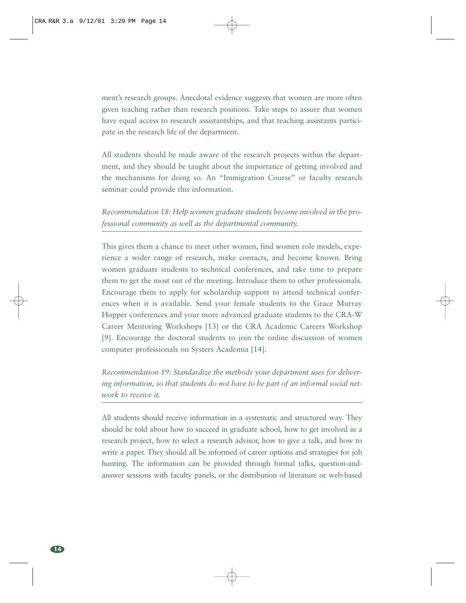ment's research groups. Anecdotal evidence suggests that women are more often given teaching rather than research positions. Take steps to assure that women have equal access to research assistantships, and that teaching assistants participate in the research life of the department.

All students should be made aware of the research projects within the department, and they should be taught about the importance of getting involved and the mechanisms for doing so. An "Immigration Course" or faculty research seminar could provide this information.

*Recommendation 18: Help women graduate students become involved in the professional community as well as the departmental community.* 

This gives them a chance to meet other women, find women role models, experience a wider range of research, make contacts, and become known. Bring women graduate students to technical conferences, and take time to prepare them to get the most out of the meeting. Introduce them to other professionals. Encourage them to apply for scholarship support to attend technical conferences when it is available. Send your female students to the Grace Murray Hopper conferences and your more advanced graduate students to the CRA-W Career Mentoring Workshops [13] or the CRA Academic Careers Workshop [9]. Encourage the doctoral students to join the online discussion of women computer professionals on Systers Academia [14].

*Recommendation 19: Standardize the methods your department uses for delivering information, so that students do not have to be part of an informal social network to receive it.* 

All students should receive information in a systematic and structured way. They should be told about how to succeed in graduate school, how to get involved in a research project, how to select a research advisor, how to give a talk, and how to write a paper. They should all be informed of career options and strategies for job hunting. The information can be provided through formal talks, question-andanswer sessions with faculty panels, or the distribution of literature or web-based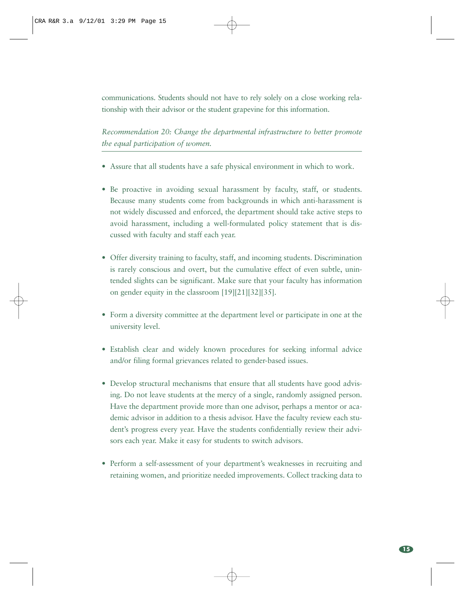communications. Students should not have to rely solely on a close working relationship with their advisor or the student grapevine for this information.

*Recommendation 20: Change the departmental infrastructure to better promote the equal participation of women.* 

- Assure that all students have a safe physical environment in which to work.
- Be proactive in avoiding sexual harassment by faculty, staff, or students. Because many students come from backgrounds in which anti-harassment is not widely discussed and enforced, the department should take active steps to avoid harassment, including a well-formulated policy statement that is discussed with faculty and staff each year.
- Offer diversity training to faculty, staff, and incoming students. Discrimination is rarely conscious and overt, but the cumulative effect of even subtle, unintended slights can be significant. Make sure that your faculty has information on gender equity in the classroom [19][21][32][35].
- Form a diversity committee at the department level or participate in one at the university level.
- Establish clear and widely known procedures for seeking informal advice and/or filing formal grievances related to gender-based issues.
- Develop structural mechanisms that ensure that all students have good advising. Do not leave students at the mercy of a single, randomly assigned person. Have the department provide more than one advisor, perhaps a mentor or academic advisor in addition to a thesis advisor. Have the faculty review each student's progress every year. Have the students confidentially review their advisors each year. Make it easy for students to switch advisors.
- Perform a self-assessment of your department's weaknesses in recruiting and retaining women, and prioritize needed improvements. Collect tracking data to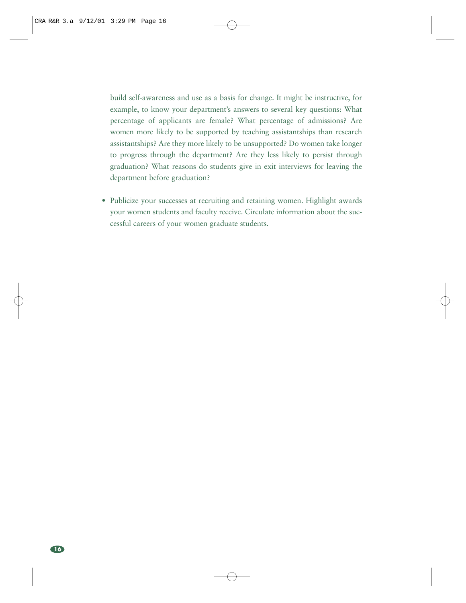build self-awareness and use as a basis for change. It might be instructive, for example, to know your department's answers to several key questions: What percentage of applicants are female? What percentage of admissions? Are women more likely to be supported by teaching assistantships than research assistantships? Are they more likely to be unsupported? Do women take longer to progress through the department? Are they less likely to persist through graduation? What reasons do students give in exit interviews for leaving the department before graduation?

• Publicize your successes at recruiting and retaining women. Highlight awards your women students and faculty receive. Circulate information about the successful careers of your women graduate students.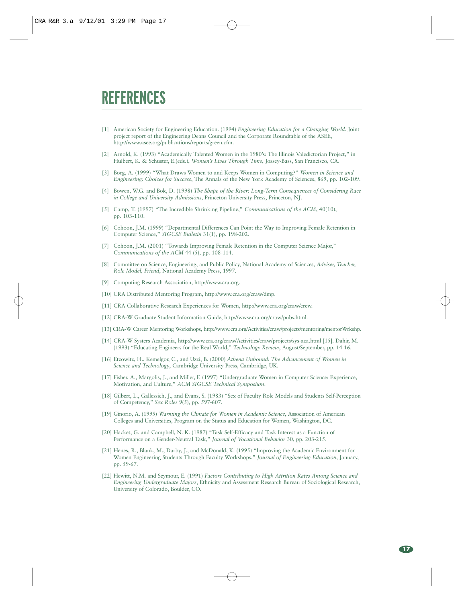# **REFERENCES**

- [1] American Society for Engineering Education. (1994) *Engineering Education for a Changing World*. Joint project report of the Engineering Deans Council and the Corporate Roundtable of the ASEE, http://www.asee.org/publications/reports/green.cfm.
- [2] Arnold, K. (1993) "Academically Talented Women in the 1980's: The Illinois Valedictorian Project," in Hulbert, K. & Schuster, E.(eds.), *Women's Lives Through Time*, Jossey-Bass, San Francisco, CA.
- [3] Borg, A. (1999) "What Draws Women to and Keeps Women in Computing?" *Women in Science and Engineering: Choices for Success*, The Annals of the New York Academy of Sciences, 869, pp. 102-109.
- [4] Bowen, W.G. and Bok, D. (1998) *The Shape of the River: Long-Term Consequences of Considering Race in College and University Admissions*, Princeton University Press, Princeton, NJ.
- [5] Camp, T. (1997) "The Incredible Shrinking Pipeline," *Communications of the ACM*, 40(10), pp. 103-110.
- [6] Cohoon, J.M. (1999) "Departmental Differences Can Point the Way to Improving Female Retention in Computer Science," *SIGCSE Bulletin* 31(1), pp. 198-202.
- [7] Cohoon, J.M. (2001) "Towards Improving Female Retention in the Computer Science Major," *Communications of the ACM* 44 (5), pp. 108-114.
- [8] Committee on Science, Engineering, and Public Policy, National Academy of Sciences, *Adviser, Teacher, Role Model, Friend*, National Academy Press, 1997.
- [9] Computing Research Association, http://www.cra.org.
- [10] CRA Distributed Mentoring Program, http://www.cra.org/craw/dmp.
- [11] CRA Collaborative Research Experiences for Women, http://www.cra.org/craw/crew.
- [12] CRA-W Graduate Student Information Guide, http://www.cra.org/craw/pubs.html.
- [13] CRA-W Career Mentoring Workshops, http://www.cra.org/Activities/craw/projects/mentoring/mentorWrkshp.
- [14] CRA-W Systers Academia, http://www.cra.org/craw/Activities/craw/projects/sys-aca.html [15]. Dahir, M. (1993) "Educating Engineers for the Real World," *Technology Review*, August/September, pp. 14-16.
- [16] Etzowitz, H., Kemelgor, C., and Uzzi, B. (2000) *Athena Unbound: The Advancement of Women in Science and Technology*, Cambridge University Press, Cambridge, UK.
- [17] Fisher, A., Margolis, J., and Miller, F. (1997) "Undergraduate Women in Computer Science: Experience, Motivation, and Culture," *ACM SIGCSE Technical Symposium*.
- [18] Gilbert, L., Gallessich, J., and Evans, S. (1983) "Sex of Faculty Role Models and Students Self-Perception of Competency," *Sex Roles* 9(5), pp. 597-607.
- [19] Ginorio, A. (1995) *Warming the Climate for Women in Academic Science*, Association of American Colleges and Universities, Program on the Status and Education for Women, Washington, DC.
- [20] Hacket, G. and Campbell, N. K. (1987) "Task Self-Efficacy and Task Interest as a Function of Performance on a Gender-Neutral Task," *Journal of Vocational Behavior* 30, pp. 203-215.
- [21] Henes, R., Blank, M., Darby, J., and McDonald, K. (1995) "Improving the Academic Environment for Women Engineering Students Through Faculty Workshops," *Journal of Engineering Education*, January, pp. 59-67.
- [22] Hewitt, N.M. and Seymour, E. (1991) *Factors Contributing to High Attrition Rates Among Science and Engineering Undergraduate Majors*, Ethnicity and Assessment Research Bureau of Sociological Research, University of Colorado, Boulder, CO.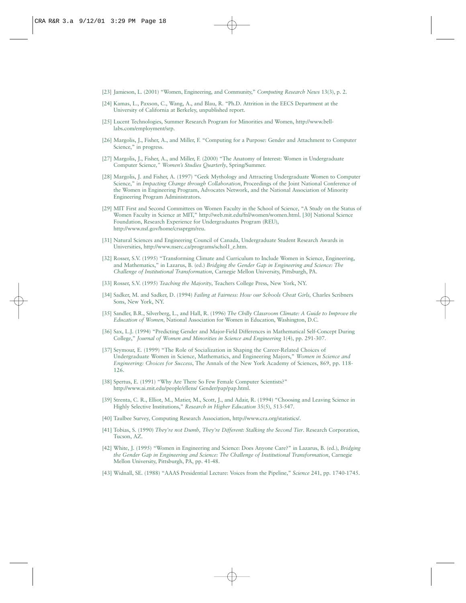- [23] Jamieson, L. (2001) "Women, Engineering, and Community," *Computing Research News* 13(3), p. 2.
- [24] Kamas, L., Paxson, C., Wang, A., and Blau, R. "Ph.D. Attrition in the EECS Department at the University of California at Berkeley, unpublished report.
- [25] Lucent Technologies, Summer Research Program for Minorities and Women, http://www.belllabs.com/employment/srp.
- [26] Margolis, J., Fisher, A., and Miller, F. "Computing for a Purpose: Gender and Attachment to Computer Science," in progress.
- [27] Margolis, J., Fisher, A., and Miller, F. (2000) "The Anatomy of Interest: Women in Undergraduate Computer Science*," Women's Studies Quarterly*, Spring/Summer.
- [28] Margolis, J. and Fisher, A. (1997) "Geek Mythology and Attracting Undergraduate Women to Computer Science," in *Impacting Change through Collaboration*, Proceedings of the Joint National Conference of the Women in Engineering Program, Advocates Network, and the National Association of Minority Engineering Program Administrators.
- [29] MIT First and Second Committees on Women Faculty in the School of Science, "A Study on the Status of Women Faculty in Science at MIT," http://web.mit.edu/fnl/women/women.html. [30] National Science Foundation, Research Experience for Undergraduates Program (REU), http://www.nsf.gov/home/crssprgm/reu.
- [31] Natural Sciences and Engineering Council of Canada, Undergraduate Student Research Awards in Universities, http://www.nserc.ca/programs/schol1\_e.htm.
- [32] Rosser, S.V. (1995) "Transforming Climate and Curriculum to Include Women in Science, Engineering, and Mathematics," in Lazarus, B. (ed.) *Bridging the Gender Gap in Engineering and Science: The Challenge of Institutional Transformation*, Carnegie Mellon University, Pittsburgh, PA.
- [33] Rosser, S.V. (1995) *Teaching the Majority*, Teachers College Press, New York, NY.
- [34] Sadker, M. and Sadker, D. (1994) *Failing at Fairness: How our Schools Cheat Girls,* Charles Scribners Sons, New York, NY.
- [35] Sandler, B.R., Silverberg, L., and Hall, R. (1996) *The Chilly Classroom Climate: A Guide to Improve the Education of Women*, National Association for Women in Education, Washington, D.C.
- [36] Sax, L.J. (1994) "Predicting Gender and Major-Field Differences in Mathematical Self-Concept During College," *Journal of Women and Minorities in Science and Engineering* 1(4), pp. 291-307.
- [37] Seymour, E. (1999) "The Role of Socialization in Shaping the Career-Related Choices of Undergraduate Women in Science, Mathematics, and Engineering Majors," *Women in Science and Engineering: Choices for Success*, The Annals of the New York Academy of Sciences, 869, pp. 118- 126.
- [38] Spertus, E. (1991) "Why Are There So Few Female Computer Scientists?" http://www.ai.mit.edu/people/ellens/ Gender/pap/pap.html.
- [39] Strenta, C. R., Elliot, M., Matier, M., Scott, J., and Adair, R. (1994) "Choosing and Leaving Science in Highly Selective Institutions," *Research in Higher Education* 35(5), 513-547.
- [40] Taulbee Survey, Computing Research Association, http://www.cra.org/statistics/.
- [41] Tobias, S. (1990) *They're not Dumb, They're Different: Stalking the Second Tier*. Research Corporation, Tucson, AZ.
- [42] White, J. (1995) "Women in Engineering and Science: Does Anyone Care?" in Lazarus, B. (ed.), *Bridging the Gender Gap in Engineering and Science: The Challenge of Institutional Transformation*, Carnegie Mellon University, Pittsburgh, PA, pp. 41-48.
- [43] Widnall, SE. (1988) "AAAS Presidential Lecture: Voices from the Pipeline," *Science* 241, pp. 1740-1745.